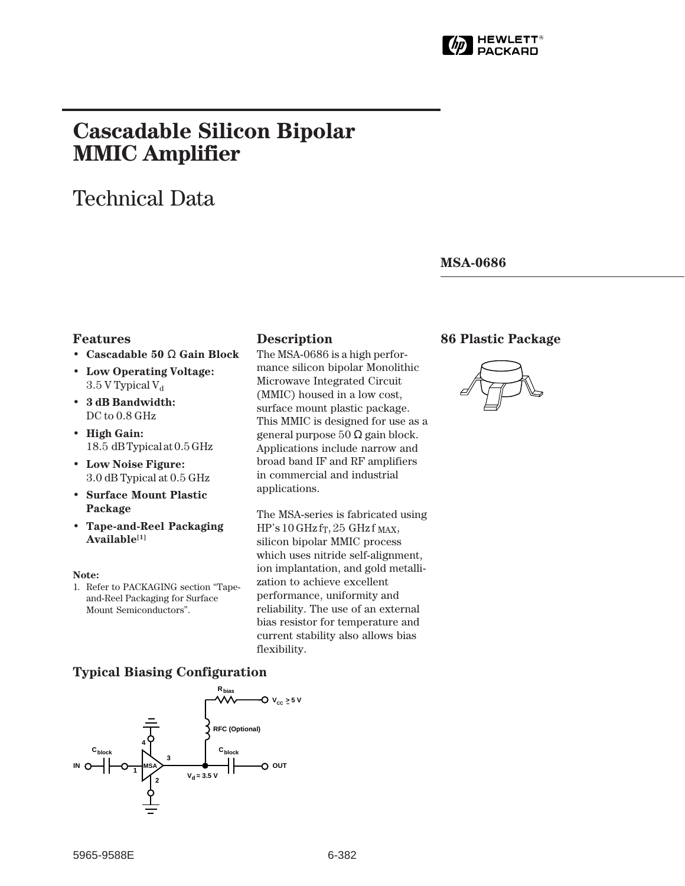

# **Cascadable Silicon Bipolar MMIC␣ Amplifier**

# Technical Data

**MSA-0686**

#### **Features**

- **Cascadable 50** Ω **Gain Block**
- **Low Operating Voltage:**  $3.5$  V Typical V<sub>d</sub>
- **3 dB Bandwidth:** DC to  $0.8$  GHz
- **High Gain:** 18.5␣ dB Typical at 0.5 GHz
- **Low Noise Figure:** 3.0 dB Typical at 0.5 GHz
- **Surface Mount Plastic Package**
- **Tape-and-Reel Packaging Available[1]**

#### **Note:**

1. Refer to PACKAGING section "Tapeand-Reel Packaging for Surface Mount Semiconductors".

#### **Description 86 Plastic Package**

The MSA-0686 is a high performance silicon bipolar Monolithic Microwave Integrated Circuit (MMIC) housed in a low cost, surface mount plastic package. This MMIC is designed for use as a general purpose 50 Ω gain block. Applications include narrow and broad band IF and RF amplifiers in commercial and industrial applications.

The MSA-series is fabricated using  $HP's 10 GHz$  fr, 25 GHz f MAX, silicon bipolar MMIC process which uses nitride self-alignment, ion implantation, and gold metallization to achieve excellent performance, uniformity and reliability. The use of an external bias resistor for temperature and current stability also allows bias flexibility.



### **Typical Biasing Configuration**

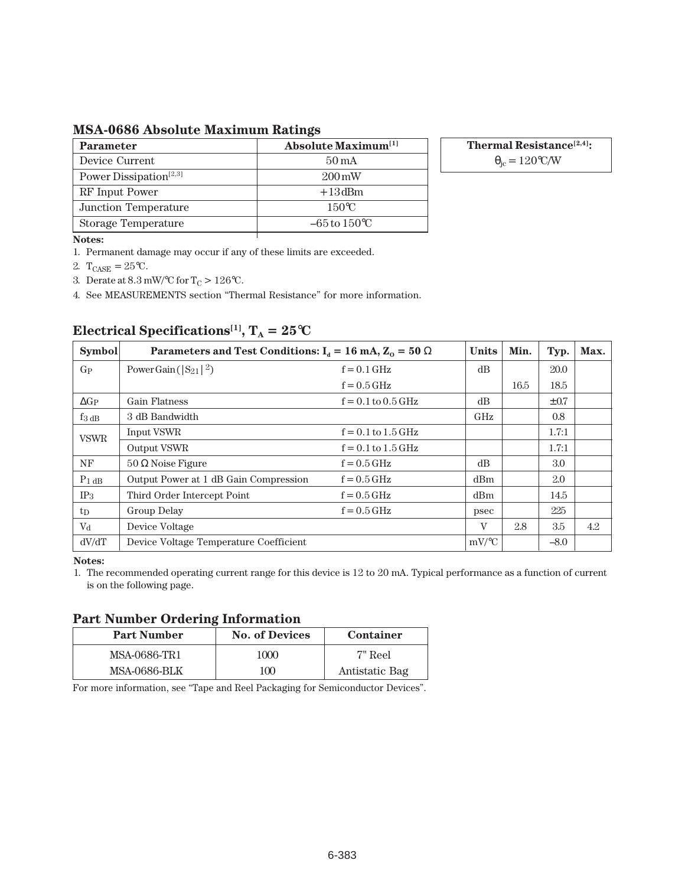## **MSA-0686 Absolute Maximum Ratings**

| <b>Parameter</b>                   | <b>Absolute Maximum</b> <sup>[1]</sup> |
|------------------------------------|----------------------------------------|
| Device Current                     | $50 \,\mathrm{mA}$                     |
| Power Dissipation <sup>[2,3]</sup> | $200 \,\mathrm{mW}$                    |
| RF Input Power                     | $+13$ dBm                              |
| Junction Temperature               | $150^{\circ}$ C                        |
| <b>Storage Temperature</b>         | $-65$ to $150^{\circ}$ C               |

**Thermal Resistance[2,4]:**

 $\theta_{\rm jc} = 120$ °C/W

#### **Notes:**

1. Permanent damage may occur if any of these limits are exceeded.

2.  $T_{CASE} = 25$ °C.

3. Derate at  $8.3\,\mathrm{mW}/^{\circ}\mathrm{C}$  for T<sub>C</sub>  $>126^{\circ}\mathrm{C}.$ 

4. See MEASUREMENTS section "Thermal Resistance" for more information.

| <b>Symbol</b>   | Parameters and Test Conditions: $I_d = 16 \text{ mA}, Z_0 = 50 \Omega$ | <b>Units</b>           | Min.     | Typ. | Max.      |     |
|-----------------|------------------------------------------------------------------------|------------------------|----------|------|-----------|-----|
| $G_{P}$         | Power Gain ( $ S_{21} ^2$ )                                            | $f = 0.1$ GHz          | dB       |      | 20.0      |     |
|                 |                                                                        | $f = 0.5$ GHz          |          | 16.5 | 18.5      |     |
| $\Delta G_P$    | <b>Gain Flatness</b>                                                   | $f = 0.1$ to $0.5$ GHz | dB       |      | $\pm 0.7$ |     |
| $f_3$ dB        | 3 dB Bandwidth                                                         |                        | GHz      |      | 0.8       |     |
| <b>VSWR</b>     | Input VSWR                                                             | $f = 0.1$ to $1.5$ GHz |          |      | 1.7:1     |     |
|                 | Output VSWR                                                            | $f = 0.1$ to $1.5$ GHz |          |      | 1.7:1     |     |
| NF              | $50 \Omega$ Noise Figure                                               | $f = 0.5$ GHz          | dB       |      | 3.0       |     |
| $P_1$ dB        | Output Power at 1 dB Gain Compression                                  | $f = 0.5$ GHz          | dBm      |      | 2.0       |     |
| IP <sub>3</sub> | Third Order Intercept Point                                            | $f = 0.5$ GHz          | dBm      |      | 14.5      |     |
| tp              | Group Delay                                                            | $f = 0.5$ GHz          | psec     |      | 225       |     |
| $V_{d}$         | Device Voltage                                                         |                        | V        | 2.8  | 3.5       | 4.2 |
| dV/dT           | Device Voltage Temperature Coefficient                                 |                        | $mV$ /°C |      | $-8.0$    |     |

# **Electrical Specifications<sup>[1]</sup>,**  $T_A = 25^{\circ}C$

#### **Notes:**

1. The recommended operating current range for this device is 12 to 20 mA. Typical performance as a function of current is on the following page.

#### **Part Number Ordering Information**

| <b>Part Number</b>  | <b>No. of Devices</b> | Container      |  |  |  |
|---------------------|-----------------------|----------------|--|--|--|
| MSA-0686-TR1        | 1000                  | 7" Reel        |  |  |  |
| <b>MSA-0686-BLK</b> | 100                   | Antistatic Bag |  |  |  |

For more information, see "Tape and Reel Packaging for Semiconductor Devices".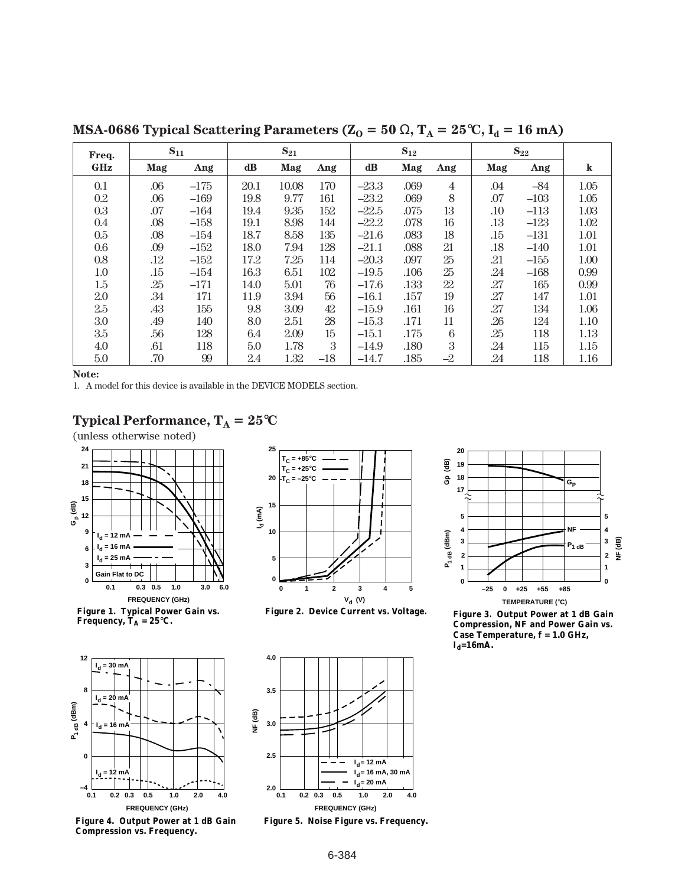**MSA-0686 Typical Scattering Parameters (** $Z_0 = 50 \Omega$ **,**  $T_A = 25^{\circ}C$ **,**  $I_d = 16 \text{ mA}$ **)** 

| Freq.      | $S_{11}$ |        | $S_{21}$      |       | $S_{12}$ |         |      | $S_{22}$        |         |        |         |
|------------|----------|--------|---------------|-------|----------|---------|------|-----------------|---------|--------|---------|
| <b>GHz</b> | Mag      | Ang    | $\mathbf{dB}$ | Mag   | Ang      | dB      | Mag  | Ang             | Mag     | Ang    | $\bf k$ |
| 0.1        | .06      | $-175$ | 20.1          | 10.08 | 170      | $-23.3$ | .069 | $\overline{4}$  | .04     | $-84$  | 1.05    |
| 0.2        | .06      | $-169$ | 19.8          | 9.77  | 161      | $-23.2$ | .069 | 8               | .07     | $-103$ | 1.05    |
| 0.3        | .07      | $-164$ | 19.4          | 9.35  | 152      | $-22.5$ | .075 | 13              | $.10\,$ | $-113$ | 1.03    |
| 0.4        | .08      | $-158$ | 19.1          | 8.98  | 144      | $-22.2$ | .078 | 16              | .13     | $-123$ | 1.02    |
| $0.5\,$    | .08      | $-154$ | 18.7          | 8.58  | 135      | $-21.6$ | .083 | 18              | .15     | $-131$ | 1.01    |
| 0.6        | .09      | $-152$ | 18.0          | 7.94  | 128      | $-21.1$ | .088 | 21              | .18     | $-140$ | 1.01    |
| 0.8        | .12      | $-152$ | 17.2          | 7.25  | 114      | $-20.3$ | .097 | 25              | .21     | $-155$ | 1.00    |
| $1.0\,$    | .15      | $-154$ | 16.3          | 6.51  | 102      | $-19.5$ | .106 | 25              | .24     | $-168$ | 0.99    |
| 1.5        | .25      | $-171$ | 14.0          | 5.01  | $76\,$   | $-17.6$ | .133 | 22              | .27     | 165    | 0.99    |
| 2.0        | .34      | 171    | 11.9          | 3.94  | $56\,$   | $-16.1$ | .157 | 19              | .27     | 147    | 1.01    |
| 2.5        | .43      | 155    | 9.8           | 3.09  | 42       | $-15.9$ | .161 | 16              | .27     | 134    | 1.06    |
| 3.0        | .49      | 140    | 8.0           | 2.51  | 28       | $-15.3$ | .171 | 11              | .26     | 124    | 1.10    |
| 3.5        | .56      | 128    | 6.4           | 2.09  | $15\,$   | $-15.1$ | .175 | $6\phantom{1}6$ | .25     | 118    | 1.13    |
| 4.0        | .61      | 118    | 5.0           | 1.78  | 3        | $-14.9$ | .180 | 3               | .24     | 115    | 1.15    |
| 5.0        | .70      | 99     | 2.4           | 1.32  | $-18$    | $-14.7$ | .185 | $-2$            | .24     | 118    | 1.16    |

**Note:**

1. A model for this device is available in the DEVICE MODELS section.

## **Typical Performance,**  $T_A = 25^{\circ}C$

(unless otherwise noted)



**Figure 1. Typical Power Gain vs.**  Frequency,  $\mathbf{T_A} = 25^{\circ}\mathbf{C}$ .



**Figure 4. Output Power at 1 dB Gain Compression vs. Frequency.**



**Figure 2. Device Current vs. Voltage.**



**Figure 5. Noise Figure vs. Frequency.**



**Figure 3. Output Power at 1 dB Gain Compression, NF and Power Gain vs. Case Temperature, f = 1.0 GHz,**   $I_d = 16$ mA.